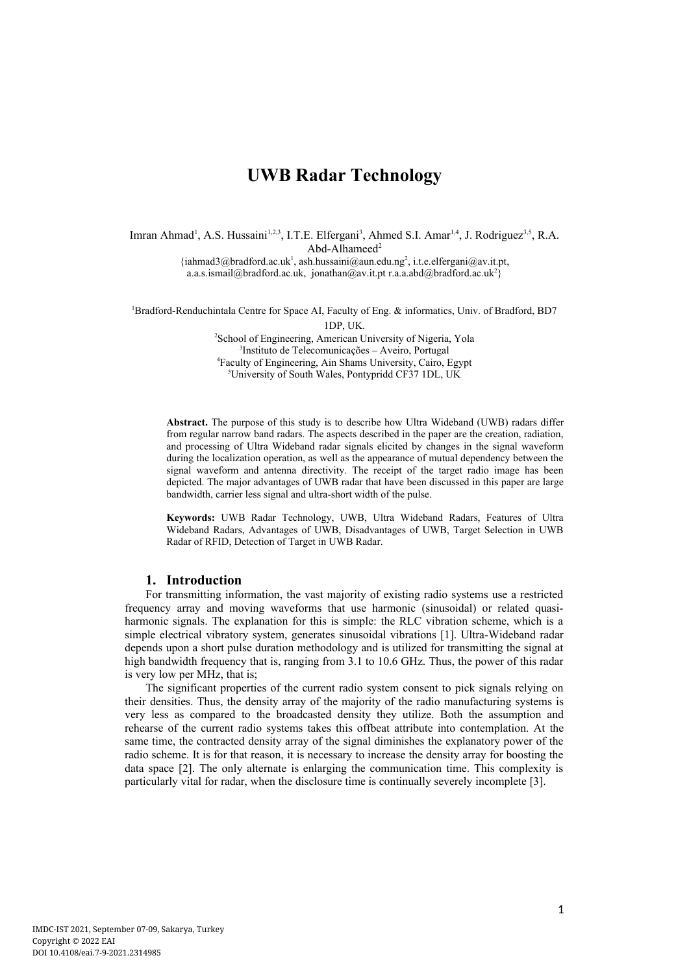# **UWB Radar Technology**

Imran Ahmad<sup>1</sup>, A.S. Hussaini<sup>1,2,3</sup>, I.T.E. Elfergani<sup>3</sup>, Ahmed S.I. Amar<sup>1,4</sup>, J. Rodriguez<sup>3,5</sup>, R.A. Abd-Alhameed<sup>2</sup>  $\{\hat{i}$ ahmad3@bradford.ac.uk<sup>1</sup>. [ash.hussaini@aun.edu.ng](mailto:ash.hussaini@aun.edu.ng2)<sup>2</sup>. i.t.e.elfergani@ay.it.pt. a.a.s.ismail@bradford.ac.uk. ionathan@av.it.pt r.a.a.abd@bradford.ac.uk<sup>2</sup>

<sup>1</sup>Bradford-Renduchintala Centre for Space AI, Faculty of Eng. & informatics, Univ. of Bradford, BD7

1DP, UK.

<sup>2</sup>School of Engineering, American University of Nigeria, Yola 3 Instituto de Telecomunicações – Aveiro, Portugal <sup>4</sup>Faculty of Engineering, Ain Shams University, Cairo, Egypt <sup>5</sup>University of South Wales, Pontypridd CF37 1DL, UK

**Abstract.** The purpose of this study is to describe how Ultra Wideband (UWB) radars differ from regular narrow band radars. The aspects described in the paper are the creation, radiation, and processing of Ultra Wideband radar signals elicited by changes in the signal waveform during the localization operation, as well as the appearance of mutual dependency between the signal waveform and antenna directivity. The receipt of the target radio image has been depicted. The major advantages of UWB radar that have been discussed in this paper are large bandwidth, carrier less signal and ultra-short width of the pulse.

**Keywords:** UWB Radar Technology, UWB, Ultra Wideband Radars, Features of Ultra Wideband Radars, Advantages of UWB, Disadvantages of UWB, Target Selection in UWB Radar of RFID, Detection of Target in UWB Radar.

# **1. Introduction**

For transmitting information, the vast majority of existing radio systems use a restricted frequency array and moving waveforms that use harmonic (sinusoidal) or related quasiharmonic signals. The explanation for this is simple: the RLC vibration scheme, which is a simple electrical vibratory system, generates sinusoidal vibrations [1]. Ultra-Wideband radar depends upon a short pulse duration methodology and is utilized for transmitting the signal at high bandwidth frequency that is, ranging from 3.1 to 10.6 GHz. Thus, the power of this radar is very low per MHz, that is;

The significant properties of the current radio system consent to pick signals relying on their densities. Thus, the density array of the majority of the radio manufacturing systems is very less as compared to the broadcasted density they utilize. Both the assumption and rehearse of the current radio systems takes this offbeat attribute into contemplation. At the same time, the contracted density array of the signal diminishes the explanatory power of the radio scheme. It is for that reason, it is necessary to increase the density array for boosting the data space [2]. The only alternate is enlarging the communication time. This complexity is particularly vital for radar, when the disclosure time is continually severely incomplete [3].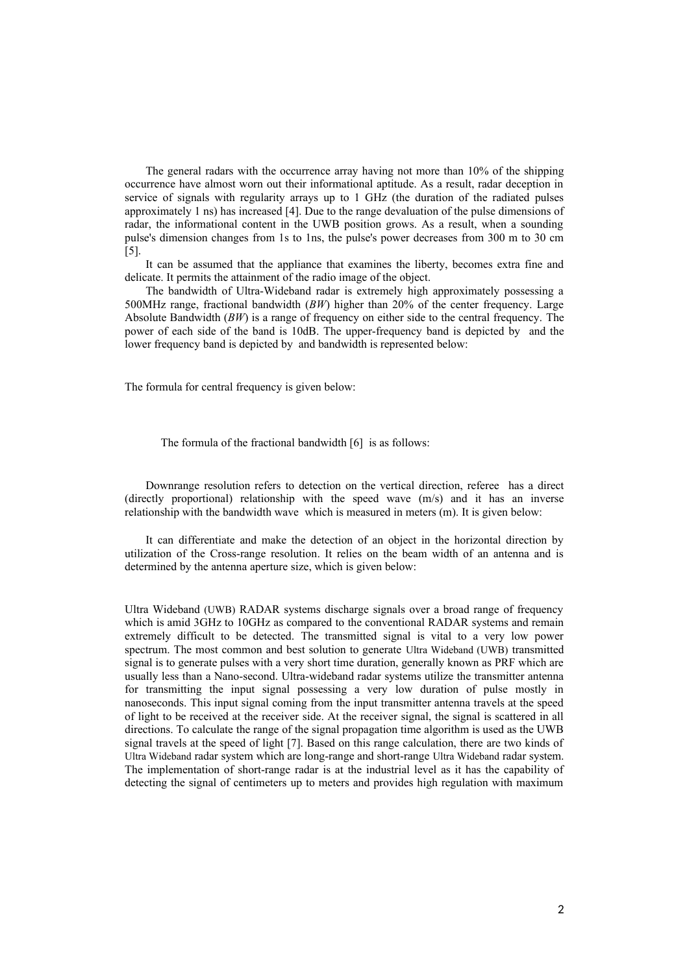The general radars with the occurrence array having not more than 10% of the shipping occurrence have almost worn out their informational aptitude. As a result, radar deception in service of signals with regularity arrays up to 1 GHz (the duration of the radiated pulses approximately 1 ns) has increased [4]. Due to the range devaluation of the pulse dimensions of radar, the informational content in the UWB position grows. As a result, when a sounding pulse's dimension changes from 1s to 1ns, the pulse's power decreases from 300 m to 30 cm [5].

It can be assumed that the appliance that examines the liberty, becomes extra fine and delicate. It permits the attainment of the radio image of the object.

The bandwidth of Ultra-Wideband radar is extremely high approximately possessing a 500MHz range, fractional bandwidth (*BW*) higher than 20% of the center frequency. Large Absolute Bandwidth (*BW*) is a range of frequency on either side to the central frequency. The power of each side of the band is 10dB. The upper-frequency band is depicted by and the lower frequency band is depicted by and bandwidth is represented below:

The formula for central frequency is given below:

The formula of the fractional bandwidth [6] is as follows:

Downrange resolution refers to detection on the vertical direction, referee has a direct (directly proportional) relationship with the speed wave (m/s) and it has an inverse relationship with the bandwidth wave which is measured in meters (m). It is given below:

It can differentiate and make the detection of an object in the horizontal direction by utilization of the Cross-range resolution. It relies on the beam width of an antenna and is determined by the antenna aperture size, which is given below:

Ultra Wideband (UWB) RADAR systems discharge signals over a broad range of frequency which is amid 3GHz to 10GHz as compared to the conventional RADAR systems and remain extremely difficult to be detected. The transmitted signal is vital to a very low power spectrum. The most common and best solution to generate Ultra Wideband (UWB) transmitted signal is to generate pulses with a very short time duration, generally known as PRF which are usually less than a Nano-second. Ultra-wideband radar systems utilize the transmitter antenna for transmitting the input signal possessing a very low duration of pulse mostly in nanoseconds. This input signal coming from the input transmitter antenna travels at the speed of light to be received at the receiver side. At the receiver signal, the signal is scattered in all directions. To calculate the range of the signal propagation time algorithm is used as the UWB signal travels at the speed of light [7]. Based on this range calculation, there are two kinds of Ultra Wideband radar system which are long-range and short-range Ultra Wideband radar system. The implementation of short-range radar is at the industrial level as it has the capability of detecting the signal of centimeters up to meters and provides high regulation with maximum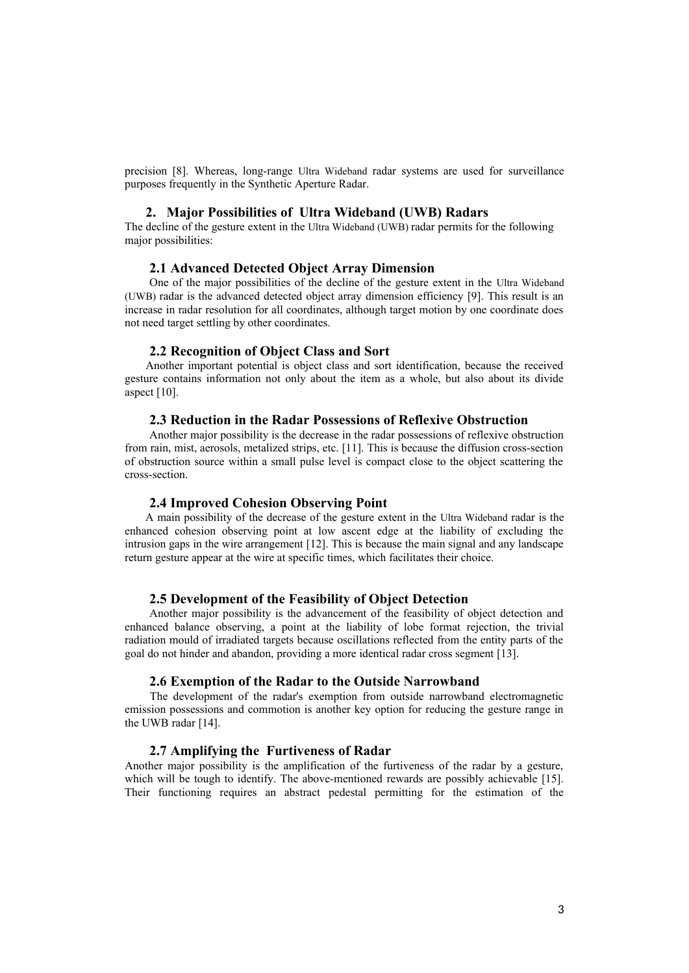precision [8]. Whereas, long-range Ultra Wideband radar systems are used for surveillance purposes frequently in the Synthetic Aperture Radar.

# **2. Major Possibilities of Ultra Wideband (UWB) Radars**

The decline of the gesture extent in the Ultra Wideband (UWB) radar permits for the following major possibilities:

## **2.1 Advanced Detected Object Array Dimension**

One of the major possibilities of the decline of the gesture extent in the Ultra Wideband (UWB) radar is the advanced detected object array dimension efficiency [9]. This result is an increase in radar resolution for all coordinates, although target motion by one coordinate does not need target settling by other coordinates.

#### **2.2 Recognition of Object Class and Sort**

Another important potential is object class and sort identification, because the received gesture contains information not only about the item as a whole, but also about its divide aspect [10].

## **2.3 Reduction in the Radar Possessions of Reflexive Obstruction**

Another major possibility is the decrease in the radar possessions of reflexive obstruction from rain, mist, aerosols, metalized strips, etc. [11]. This is because the diffusion cross-section of obstruction source within a small pulse level is compact close to the object scattering the cross-section.

# **2.4 Improved Cohesion Observing Point**

A main possibility of the decrease of the gesture extent in the Ultra Wideband radar is the enhanced cohesion observing point at low ascent edge at the liability of excluding the intrusion gaps in the wire arrangement [12]. This is because the main signal and any landscape return gesture appear at the wire at specific times, which facilitates their choice.

# **2.5 Development of the Feasibility of Object Detection**

Another major possibility is the advancement of the feasibility of object detection and enhanced balance observing, a point at the liability of lobe format rejection, the trivial radiation mould of irradiated targets because oscillations reflected from the entity parts of the goal do not hinder and abandon, providing a more identical radar cross segment [13].

#### **2.6 Exemption of the Radar to the Outside Narrowband**

The development of the radar's exemption from outside narrowband electromagnetic emission possessions and commotion is another key option for reducing the gesture range in the UWB radar [14].

# **2.7 Amplifying the Furtiveness of Radar**

Another major possibility is the amplification of the furtiveness of the radar by a gesture, which will be tough to identify. The above-mentioned rewards are possibly achievable [15]. Their functioning requires an abstract pedestal permitting for the estimation of the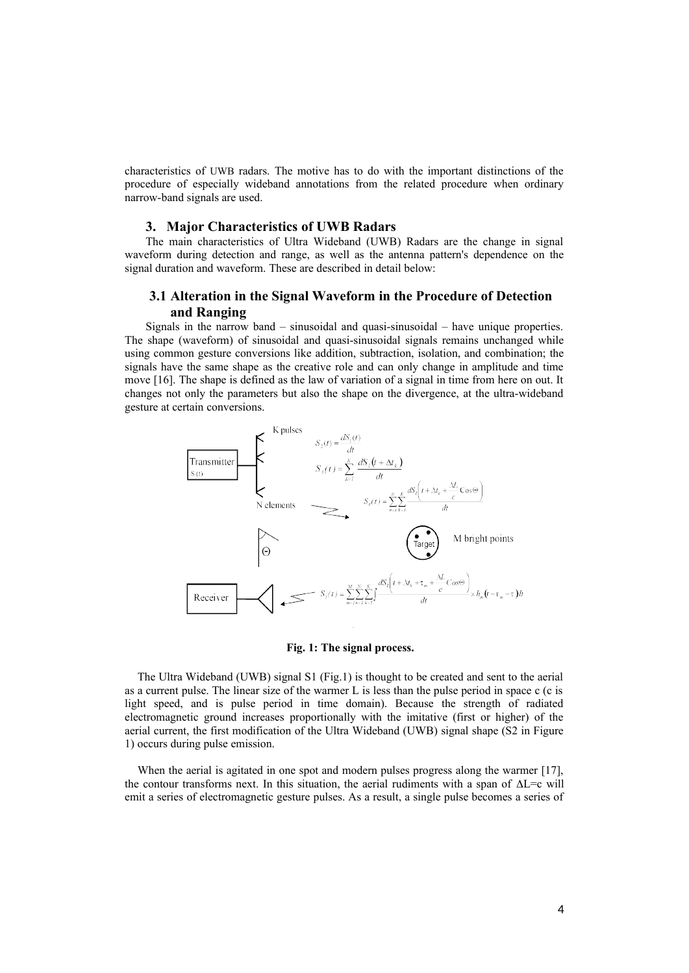characteristics of UWB radars. The motive has to do with the important distinctions of the procedure of especially wideband annotations from the related procedure when ordinary narrow-band signals are used.

## **3. Major Characteristics of UWB Radars**

The main characteristics of Ultra Wideband (UWB) Radars are the change in signal waveform during detection and range, as well as the antenna pattern's dependence on the signal duration and waveform. These are described in detail below:

# **3.1 Alteration in the Signal Waveform in the Procedure of Detection and Ranging**

Signals in the narrow band – sinusoidal and quasi-sinusoidal – have unique properties. The shape (waveform) of sinusoidal and quasi-sinusoidal signals remains unchanged while using common gesture conversions like addition, subtraction, isolation, and combination; the signals have the same shape as the creative role and can only change in amplitude and time move [16]. The shape is defined as the law of variation of a signal in time from here on out. It changes not only the parameters but also the shape on the divergence, at the ultra-wideband gesture at certain conversions.



#### **Fig. 1: The signal process.**

The Ultra Wideband (UWB) signal S1 (Fig.1) is thought to be created and sent to the aerial as a current pulse. The linear size of the warmer L is less than the pulse period in space c (c is light speed, and is pulse period in time domain). Because the strength of radiated electromagnetic ground increases proportionally with the imitative (first or higher) of the aerial current, the first modification of the Ultra Wideband (UWB) signal shape (S2 in Figure 1) occurs during pulse emission.

When the aerial is agitated in one spot and modern pulses progress along the warmer [17], the contour transforms next. In this situation, the aerial rudiments with a span of  $\Delta L = c$  will emit a series of electromagnetic gesture pulses. As a result, a single pulse becomes a series of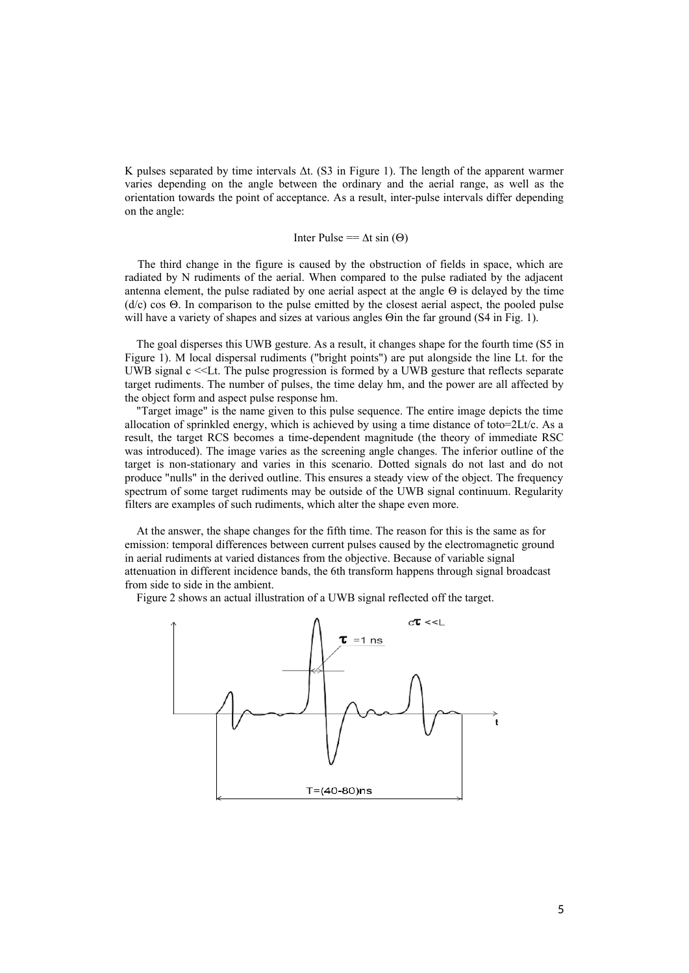K pulses separated by time intervals Δt. (S3 in Figure 1). The length of the apparent warmer varies depending on the angle between the ordinary and the aerial range, as well as the orientation towards the point of acceptance. As a result, inter-pulse intervals differ depending on the angle:

# Inter Pulse ==  $\Delta t$  sin ( $\Theta$ )

The third change in the figure is caused by the obstruction of fields in space, which are radiated by N rudiments of the aerial. When compared to the pulse radiated by the adjacent antenna element, the pulse radiated by one aerial aspect at the angle  $\Theta$  is delayed by the time  $(d/c)$  cos  $\Theta$ . In comparison to the pulse emitted by the closest aerial aspect, the pooled pulse will have a variety of shapes and sizes at various angles  $\Theta$  in the far ground (S4 in Fig. 1).

The goal disperses this UWB gesture. As a result, it changes shape for the fourth time (S5 in Figure 1). M local dispersal rudiments ("bright points") are put alongside the line Lt. for the UWB signal c <<Lt. The pulse progression is formed by a UWB gesture that reflects separate target rudiments. The number of pulses, the time delay hm, and the power are all affected by the object form and aspect pulse response hm.

"Target image" is the name given to this pulse sequence. The entire image depicts the time allocation of sprinkled energy, which is achieved by using a time distance of toto= $2\text{Lt}/c$ . As a result, the target RCS becomes a time-dependent magnitude (the theory of immediate RSC was introduced). The image varies as the screening angle changes. The inferior outline of the target is non-stationary and varies in this scenario. Dotted signals do not last and do not produce "nulls" in the derived outline. This ensures a steady view of the object. The frequency spectrum of some target rudiments may be outside of the UWB signal continuum. Regularity filters are examples of such rudiments, which alter the shape even more.

At the answer, the shape changes for the fifth time. The reason for this is the same as for emission: temporal differences between current pulses caused by the electromagnetic ground in aerial rudiments at varied distances from the objective. Because of variable signal attenuation in different incidence bands, the 6th transform happens through signal broadcast from side to side in the ambient.

Figure 2 shows an actual illustration of a UWB signal reflected off the target.

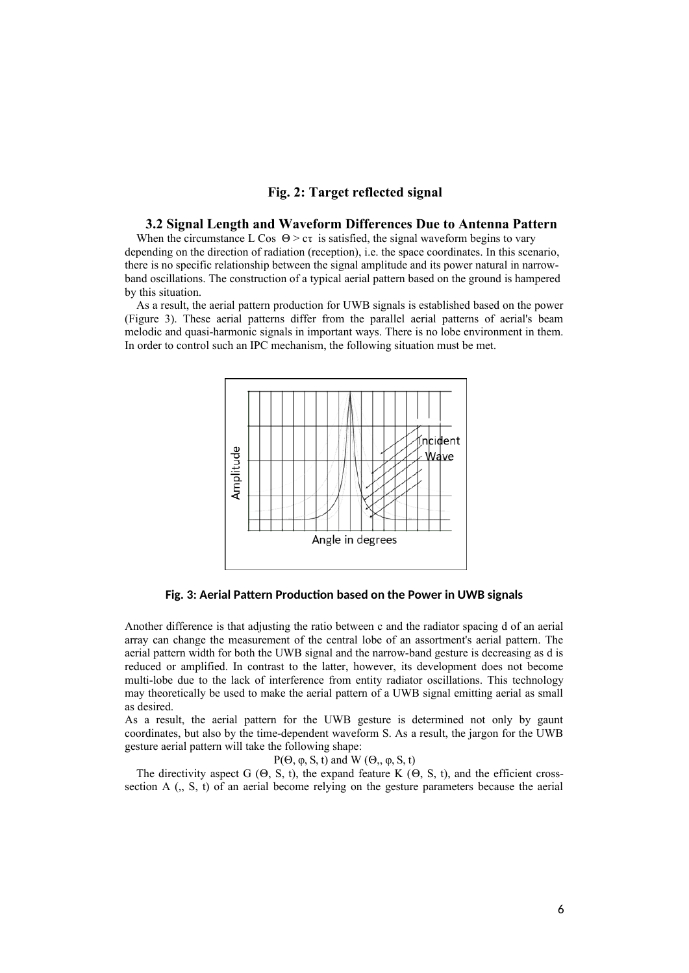# **Fig. 2: Target reflected signal**

# **3.2 Signal Length and Waveform Differences Due to Antenna Pattern**

When the circumstance L Cos  $\Theta > c\tau$  is satisfied, the signal waveform begins to vary depending on the direction of radiation (reception), i.e. the space coordinates. In this scenario, there is no specific relationship between the signal amplitude and its power natural in narrowband oscillations. The construction of a typical aerial pattern based on the ground is hampered by this situation.

As a result, the aerial pattern production for UWB signals is established based on the power (Figure 3). These aerial patterns differ from the parallel aerial patterns of aerial's beam melodic and quasi-harmonic signals in important ways. There is no lobe environment in them. In order to control such an IPC mechanism, the following situation must be met.



**Fig. 3: Aerial Pattern Production based on the Power in UWB signals**

Another difference is that adjusting the ratio between c and the radiator spacing d of an aerial array can change the measurement of the central lobe of an assortment's aerial pattern. The aerial pattern width for both the UWB signal and the narrow-band gesture is decreasing as d is reduced or amplified. In contrast to the latter, however, its development does not become multi-lobe due to the lack of interference from entity radiator oscillations. This technology may theoretically be used to make the aerial pattern of a UWB signal emitting aerial as small as desired.

As a result, the aerial pattern for the UWB gesture is determined not only by gaunt coordinates, but also by the time-dependent waveform S. As a result, the jargon for the UWB gesture aerial pattern will take the following shape:

P( $\Theta$ , φ, S, t) and W ( $\Theta$ ,, φ, S, t)

The directivity aspect G  $(\Theta, S, t)$ , the expand feature K  $(\Theta, S, t)$ , and the efficient crosssection A (,, S, t) of an aerial become relying on the gesture parameters because the aerial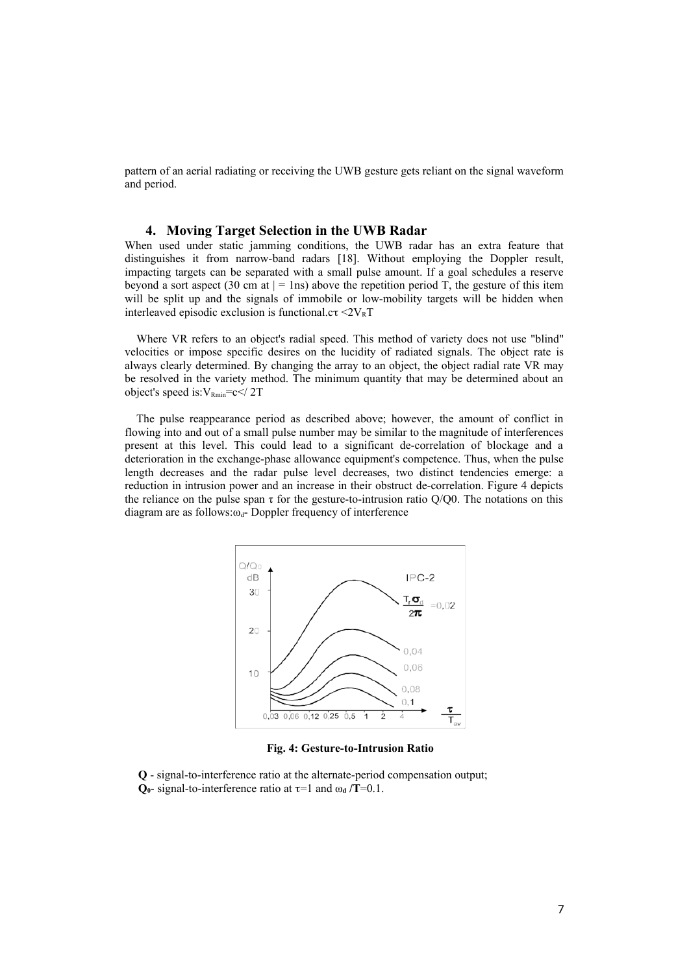pattern of an aerial radiating or receiving the UWB gesture gets reliant on the signal waveform and period.

#### **4. Moving Target Selection in the UWB Radar**

When used under static jamming conditions, the UWB radar has an extra feature that distinguishes it from narrow-band radars [18]. Without employing the Doppler result, impacting targets can be separated with a small pulse amount. If a goal schedules a reserve beyond a sort aspect (30 cm at  $| = 1$ ns) above the repetition period T, the gesture of this item will be split up and the signals of immobile or low-mobility targets will be hidden when interleaved episodic exclusion is functional.c $\tau \leq 2V_R T$ 

Where VR refers to an object's radial speed. This method of variety does not use "blind" velocities or impose specific desires on the lucidity of radiated signals. The object rate is always clearly determined. By changing the array to an object, the object radial rate VR may be resolved in the variety method. The minimum quantity that may be determined about an object's speed is: $V_{\text{Rmin}}=c$ 

The pulse reappearance period as described above; however, the amount of conflict in flowing into and out of a small pulse number may be similar to the magnitude of interferences present at this level. This could lead to a significant de-correlation of blockage and a deterioration in the exchange-phase allowance equipment's competence. Thus, when the pulse length decreases and the radar pulse level decreases, two distinct tendencies emerge: a reduction in intrusion power and an increase in their obstruct de-correlation. Figure 4 depicts the reliance on the pulse span  $\tau$  for the gesture-to-intrusion ratio Q/Q0. The notations on this diagram are as follows: $\omega_d$ - Doppler frequency of interference



**Fig. 4: Gesture-to-Intrusion Ratio**

**Q** - signal-to-interference ratio at the alternate-period compensation output;  $Q_0$ - signal-to-interference ratio at  $\tau$ =1 and  $\omega_d$  /**T**=0.1.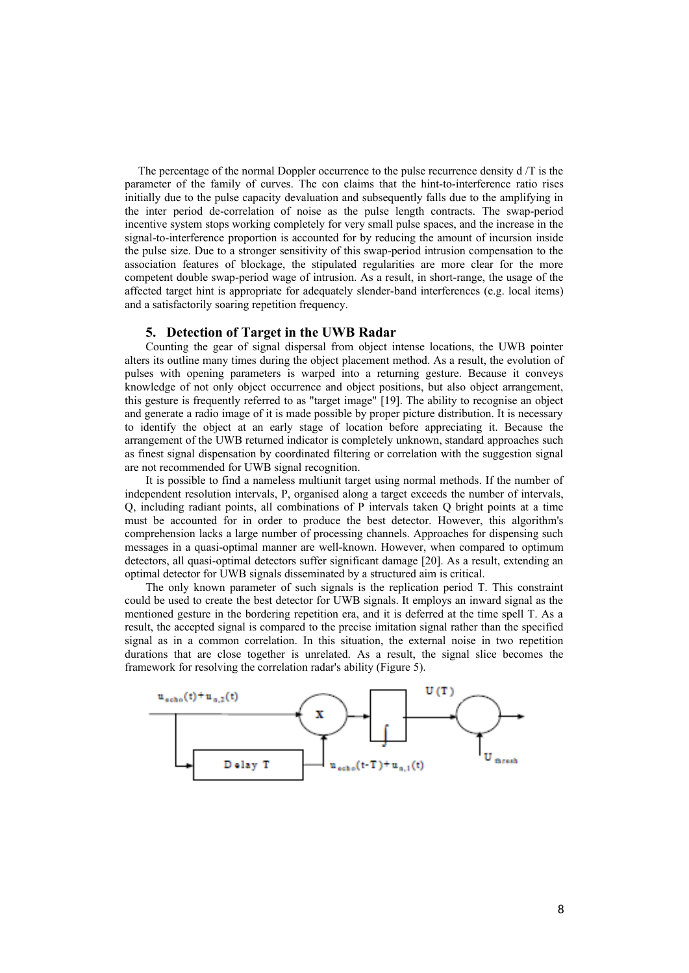The percentage of the normal Doppler occurrence to the pulse recurrence density d /T is the parameter of the family of curves. The con claims that the hint-to-interference ratio rises initially due to the pulse capacity devaluation and subsequently falls due to the amplifying in the inter period de-correlation of noise as the pulse length contracts. The swap-period incentive system stops working completely for very small pulse spaces, and the increase in the signal-to-interference proportion is accounted for by reducing the amount of incursion inside the pulse size. Due to a stronger sensitivity of this swap-period intrusion compensation to the association features of blockage, the stipulated regularities are more clear for the more competent double swap-period wage of intrusion. As a result, in short-range, the usage of the affected target hint is appropriate for adequately slender-band interferences (e.g. local items) and a satisfactorily soaring repetition frequency.

## **5. Detection of Target in the UWB Radar**

Counting the gear of signal dispersal from object intense locations, the UWB pointer alters its outline many times during the object placement method. As a result, the evolution of pulses with opening parameters is warped into a returning gesture. Because it conveys knowledge of not only object occurrence and object positions, but also object arrangement, this gesture is frequently referred to as "target image" [19]. The ability to recognise an object and generate a radio image of it is made possible by proper picture distribution. It is necessary to identify the object at an early stage of location before appreciating it. Because the arrangement of the UWB returned indicator is completely unknown, standard approaches such as finest signal dispensation by coordinated filtering or correlation with the suggestion signal are not recommended for UWB signal recognition.

It is possible to find a nameless multiunit target using normal methods. If the number of independent resolution intervals, P, organised along a target exceeds the number of intervals, Q, including radiant points, all combinations of P intervals taken Q bright points at a time must be accounted for in order to produce the best detector. However, this algorithm's comprehension lacks a large number of processing channels. Approaches for dispensing such messages in a quasi-optimal manner are well-known. However, when compared to optimum detectors, all quasi-optimal detectors suffer significant damage [20]. As a result, extending an optimal detector for UWB signals disseminated by a structured aim is critical.

The only known parameter of such signals is the replication period T. This constraint could be used to create the best detector for UWB signals. It employs an inward signal as the mentioned gesture in the bordering repetition era, and it is deferred at the time spell T. As a result, the accepted signal is compared to the precise imitation signal rather than the specified signal as in a common correlation. In this situation, the external noise in two repetition durations that are close together is unrelated. As a result, the signal slice becomes the framework for resolving the correlation radar's ability (Figure 5).

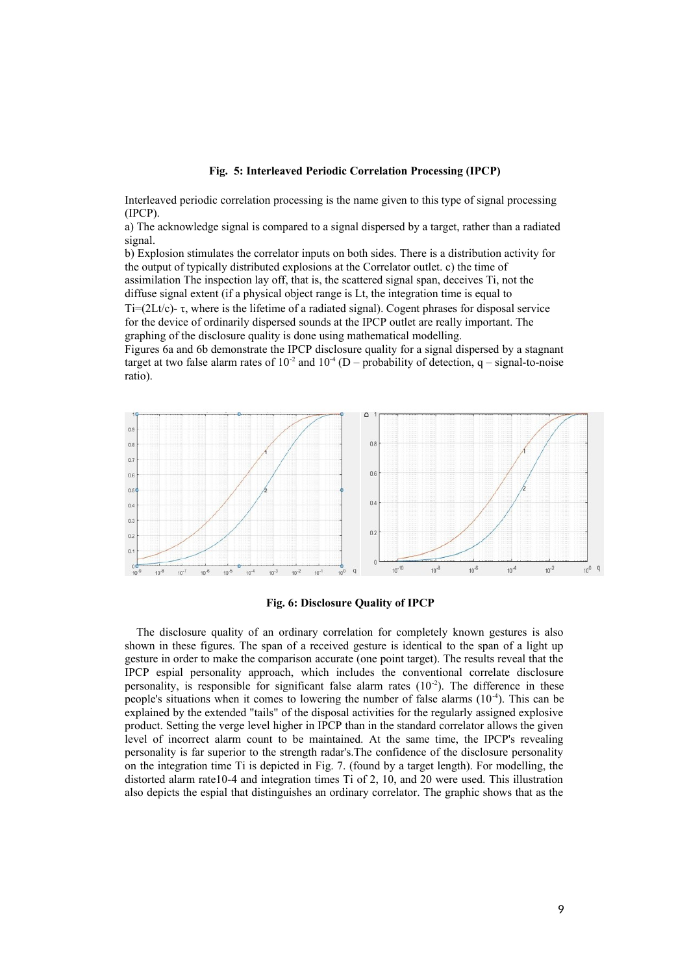#### **Fig. 5: Interleaved Periodic Correlation Processing (IPCP)**

Interleaved periodic correlation processing is the name given to this type of signal processing (IPCP).

a) The acknowledge signal is compared to a signal dispersed by a target, rather than a radiated signal.

b) Explosion stimulates the correlator inputs on both sides. There is a distribution activity for the output of typically distributed explosions at the Correlator outlet. c) the time of assimilation The inspection lay off, that is, the scattered signal span, deceives Ti, not the diffuse signal extent (if a physical object range is Lt, the integration time is equal to Ti=(2Lt/c)- $\tau$ , where is the lifetime of a radiated signal). Cogent phrases for disposal service

for the device of ordinarily dispersed sounds at the IPCP outlet are really important. The graphing of the disclosure quality is done using mathematical modelling.

Figures 6a and 6b demonstrate the IPCP disclosure quality for a signal dispersed by a stagnant target at two false alarm rates of  $10^{-2}$  and  $10^{-4}$  (D – probability of detection, q – signal-to-noise ratio).



# **Fig. 6: Disclosure Quality of IPCP**

The disclosure quality of an ordinary correlation for completely known gestures is also shown in these figures. The span of a received gesture is identical to the span of a light up gesture in order to make the comparison accurate (one point target). The results reveal that the IPCP espial personality approach, which includes the conventional correlate disclosure personality, is responsible for significant false alarm rates  $(10^{-2})$ . The difference in these people's situations when it comes to lowering the number of false alarms  $(10^{-4})$ . This can be explained by the extended "tails" of the disposal activities for the regularly assigned explosive product. Setting the verge level higher in IPCP than in the standard correlator allows the given level of incorrect alarm count to be maintained. At the same time, the IPCP's revealing personality is far superior to the strength radar's.The confidence of the disclosure personality on the integration time Ti is depicted in Fig. 7. (found by a target length). For modelling, the distorted alarm rate10-4 and integration times Ti of 2, 10, and 20 were used. This illustration also depicts the espial that distinguishes an ordinary correlator. The graphic shows that as the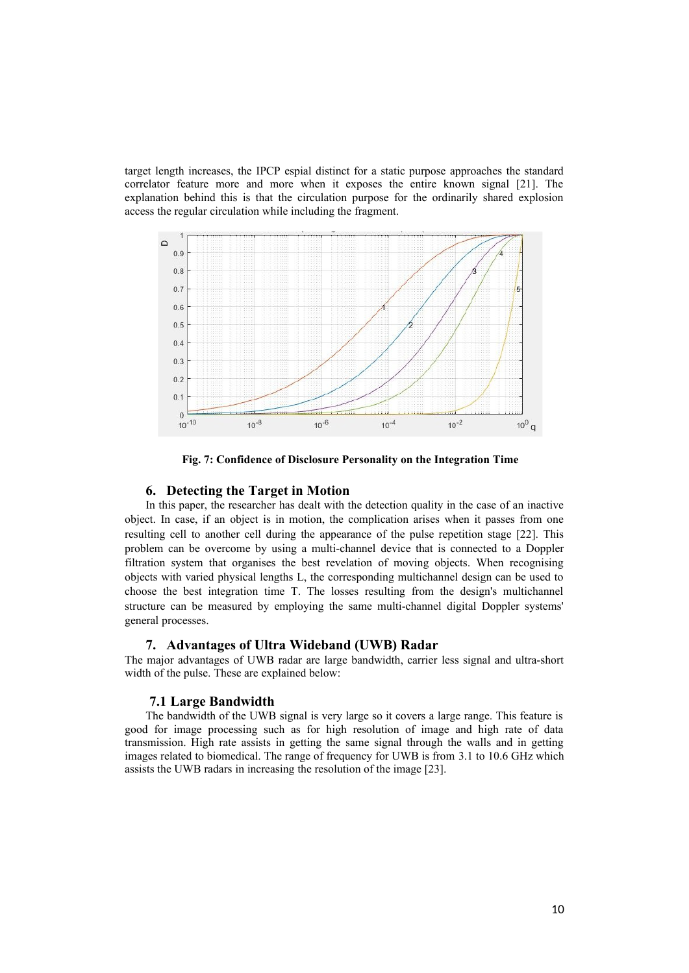target length increases, the IPCP espial distinct for a static purpose approaches the standard correlator feature more and more when it exposes the entire known signal [21]. The explanation behind this is that the circulation purpose for the ordinarily shared explosion access the regular circulation while including the fragment.



**Fig. 7: Confidence of Disclosure Personality on the Integration Time**

# **6. Detecting the Target in Motion**

In this paper, the researcher has dealt with the detection quality in the case of an inactive object. In case, if an object is in motion, the complication arises when it passes from one resulting cell to another cell during the appearance of the pulse repetition stage [22]. This problem can be overcome by using a multi-channel device that is connected to a Doppler filtration system that organises the best revelation of moving objects. When recognising objects with varied physical lengths L, the corresponding multichannel design can be used to choose the best integration time T. The losses resulting from the design's multichannel structure can be measured by employing the same multi-channel digital Doppler systems' general processes.

#### **7. Advantages of Ultra Wideband (UWB) Radar**

The major advantages of UWB radar are large bandwidth, carrier less signal and ultra-short width of the pulse. These are explained below:

# **7.1 Large Bandwidth**

The bandwidth of the UWB signal is very large so it covers a large range. This feature is good for image processing such as for high resolution of image and high rate of data transmission. High rate assists in getting the same signal through the walls and in getting images related to biomedical. The range of frequency for UWB is from 3.1 to 10.6 GHz which assists the UWB radars in increasing the resolution of the image [23].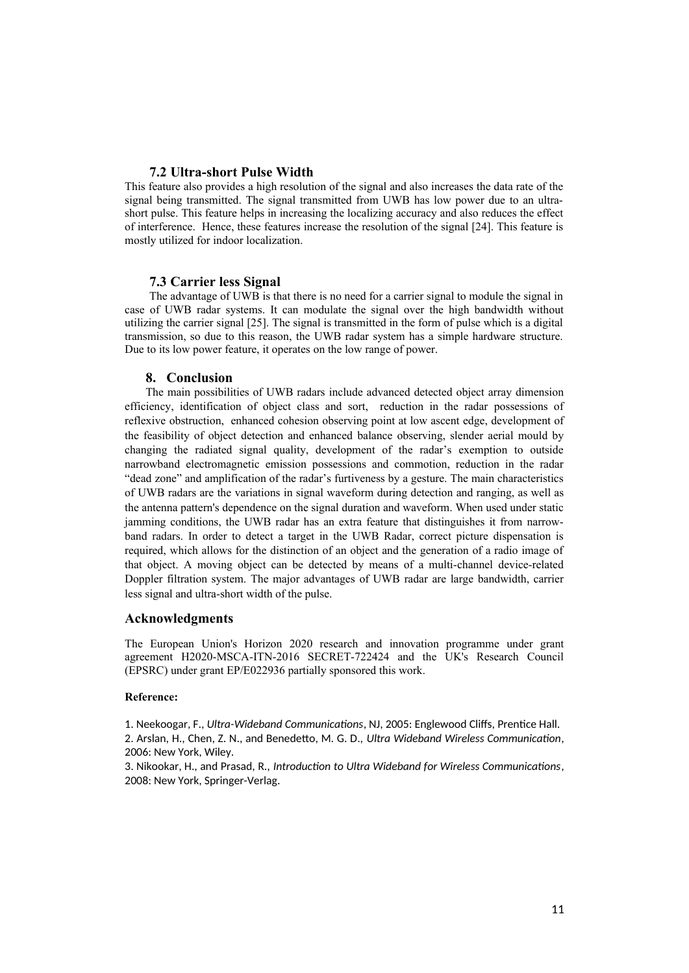# **7.2 Ultra-short Pulse Width**

This feature also provides a high resolution of the signal and also increases the data rate of the signal being transmitted. The signal transmitted from UWB has low power due to an ultrashort pulse. This feature helps in increasing the localizing accuracy and also reduces the effect of interference. Hence, these features increase the resolution of the signal [24]. This feature is mostly utilized for indoor localization.

## **7.3 Carrier less Signal**

The advantage of UWB is that there is no need for a carrier signal to module the signal in case of UWB radar systems. It can modulate the signal over the high bandwidth without utilizing the carrier signal [25]. The signal is transmitted in the form of pulse which is a digital transmission, so due to this reason, the UWB radar system has a simple hardware structure. Due to its low power feature, it operates on the low range of power.

## **8. Conclusion**

The main possibilities of UWB radars include advanced detected object array dimension efficiency, identification of object class and sort, reduction in the radar possessions of reflexive obstruction, enhanced cohesion observing point at low ascent edge, development of the feasibility of object detection and enhanced balance observing, slender aerial mould by changing the radiated signal quality, development of the radar's exemption to outside narrowband electromagnetic emission possessions and commotion, reduction in the radar "dead zone" and amplification of the radar's furtiveness by a gesture. The main characteristics of UWB radars are the variations in signal waveform during detection and ranging, as well as the antenna pattern's dependence on the signal duration and waveform. When used under static jamming conditions, the UWB radar has an extra feature that distinguishes it from narrowband radars. In order to detect a target in the UWB Radar, correct picture dispensation is required, which allows for the distinction of an object and the generation of a radio image of that object. A moving object can be detected by means of a multi-channel device-related Doppler filtration system. The major advantages of UWB radar are large bandwidth, carrier less signal and ultra-short width of the pulse.

#### **Acknowledgments**

The European Union's Horizon 2020 research and innovation programme under grant agreement H2020-MSCA-ITN-2016 SECRET-722424 and the UK's Research Council (EPSRC) under grant EP/E022936 partially sponsored this work.

#### **Reference:**

1. Neekoogar, F., *Ultra-Wideband Communications*, NJ, 2005: Englewood Cliffs, Prentice Hall. 2. Arslan, H., Chen, Z. N., and Benedetto, M. G. D., *Ultra Wideband Wireless Communication*, 2006: New York, Wiley.

3. Nikookar, H., and Prasad, R., *Introduction to Ultra Wideband for Wireless Communications*, 2008: New York, Springer-Verlag.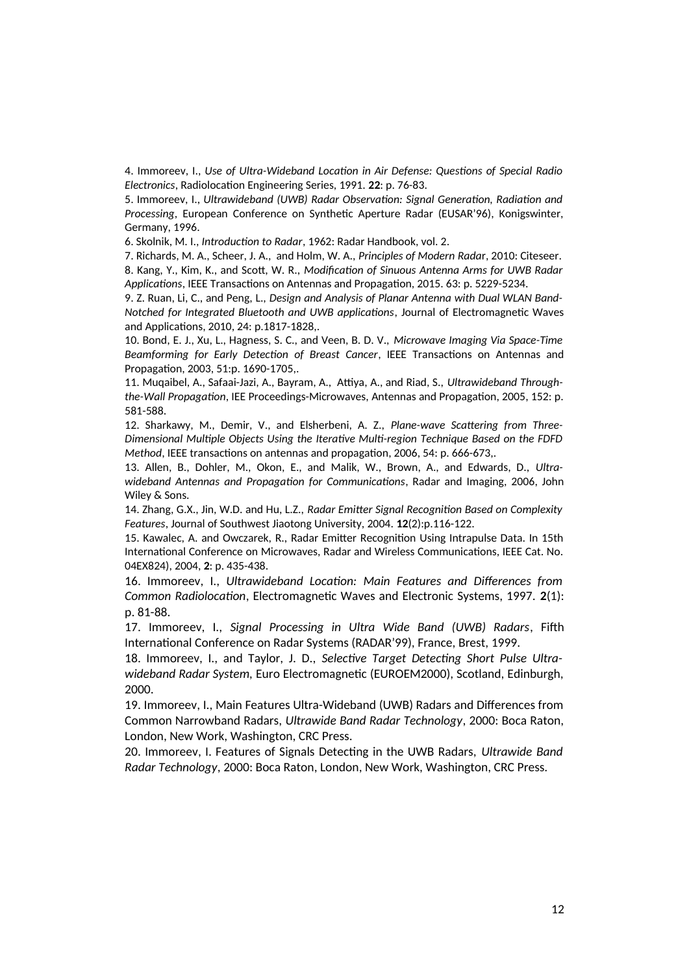4. Immoreev, I., *Use of Ultra-Wideband Location in Air Defense: Questions of Special Radio Electronics*, Radiolocation Engineering Series, 1991. **22**: p. 76-83.

5. Immoreev, I., *Ultrawideband (UWB) Radar Observation: Signal Generation, Radiation and Processing*, European Conference on Synthetic Aperture Radar (EUSAR'96), Konigswinter, Germany, 1996.

6. Skolnik, M. I., *Introduction to Radar*, 1962: Radar Handbook, vol. 2.

7. Richards, M. A., Scheer, J. A., and Holm, W. A., *Principles of Modern Rada*r, 2010: Citeseer. 8. Kang, Y., Kim, K., and Scott, W. R., *Modification of Sinuous Antenna Arms for UWB Radar Applications*, IEEE Transactions on Antennas and Propagation, 2015. 63: p. 5229-5234.

9. Z. Ruan, Li, C., and Peng, L., *Design and Analysis of Planar Antenna with Dual WLAN Band-Notched for Integrated Bluetooth and UWB applications*, Journal of Electromagnetic Waves and Applications, 2010, 24: p.1817-1828,.

10. Bond, E. J., Xu, L., Hagness, S. C., and Veen, B. D. V., *Microwave Imaging Via Space-Time Beamforming for Early Detection of Breast Cancer*, IEEE Transactions on Antennas and Propagation, 2003, 51:p. 1690-1705,.

11. Muqaibel, A., Safaai-Jazi, A., Bayram, A., Attiya, A., and Riad, S., *Ultrawideband Throughthe-Wall Propagation*, IEE Proceedings-Microwaves, Antennas and Propagation, 2005, 152: p. 581-588.

12. Sharkawy, M., Demir, V., and Elsherbeni, A. Z., *Plane-wave Scattering from Three-Dimensional Multiple Objects Using the Iterative Multi-region Technique Based on the FDFD Method*, IEEE transactions on antennas and propagation, 2006, 54: p. 666-673,.

13. Allen, B., Dohler, M., Okon, E., and Malik, W., Brown, A., and Edwards, D., *Ultrawideband Antennas and Propagation for Communications*, Radar and Imaging, 2006, John Wiley & Sons.

14. Zhang, G.X., Jin, W.D. and Hu, L.Z., *Radar Emitter Signal Recognition Based on Complexity Features*, Journal of Southwest Jiaotong University, 2004. **12**(2):p.116-122.

15. Kawalec, A. and Owczarek, R., Radar Emitter Recognition Using Intrapulse Data. In 15th International Conference on Microwaves, Radar and Wireless Communications, IEEE Cat. No. 04EX824), 2004, **2**: p. 435-438.

16. Immoreev, I., *Ultrawideband Location: Main Features and Differences from Common Radiolocation*, Electromagnetic Waves and Electronic Systems, 1997. **2**(1): p. 81-88.

17. Immoreev, I., *Signal Processing in Ultra Wide Band (UWB) Radars*, Fifth International Conference on Radar Systems (RADAR'99), France, Brest, 1999.

18. Immoreev, I., and Taylor, J. D., *Selective Target Detecting Short Pulse Ultrawideband Radar System,* Euro Electromagnetic (EUROEM2000), Scotland, Edinburgh, 2000.

19. Immoreev, I., Main Features Ultra-Wideband (UWB) Radars and Differences from Common Narrowband Radars, *Ultrawide Band Radar Technology*, 2000: Boca Raton, London, New Work, Washington, CRC Press.

20. Immoreev, I. Features of Signals Detecting in the UWB Radars, *Ultrawide Band Radar Technology*, 2000: Boca Raton, London, New Work, Washington, CRC Press.